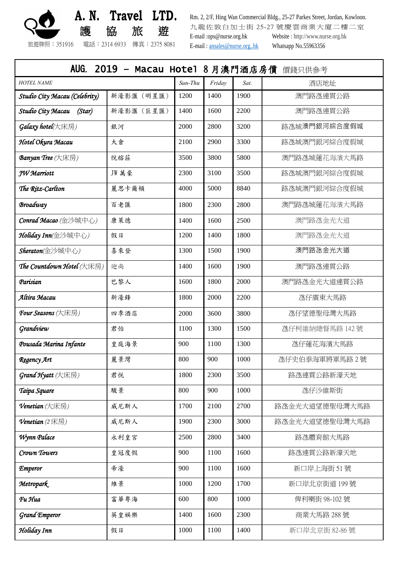

 **A. N. Travel LTD.** 護 協 旅 遊

Rm. 2, 2/F, Hing Wan Commercial Bldg., 25-27 Parkes Street, Jordan, Kowloon. 九龍佐敦白加士街 25-27 號慶雲商業大廈二樓二室 E-mail :ops@nurse.org.hk Website [: http://www.nurse.org.hk](http://www.nurse.org.hk/) E-mail : [ansales@nurse.org..hk](mailto:ansales@nurse.org..hk) Whatsapp No.55963356

旅遊牌照:351916 電話:2314 6933 傳真:2375 8081

AUG. 2019 – Macau Hotel 8 月澳門酒店房價 價錢只供參考

*HOTEL NAME Sun-Thu Friday Sat.* 酒店地址

**Studio City Macau (Celebrity)** 新濠影滙 (明星匯) | 1200 | 1400 | 1900 | 调門路氹連貫公路

**Studio City Macau (Star)** 新濠影滙 (巨星匯) 1400 1600 2200 2200 澳門路氹連貫公路

*Galaxy hotel*(大床房) 2000 2800 3200 路氹城澳門銀河綜合度假城

*Hotel Okura Macau* | 大倉 | 2100 | 2900 | 2300 | 图氹城澳門銀河綜合度假城

**Banyan Tree** (大床房) 悦榕莊 3500 3800 5800 澳門路氹城蓮花海濱大馬路

*JW Marriott* **Lack TET TET TET 3100 13100 13500 日** 路氹城澳門銀河綜合度假城 **The Ritz-Carlton 1 <b>Exitz-Carlton** 2 麗思卡爾頓 4000 5000 8840 路氹城澳門銀河綜合度假城 **Broadway インタン おりつき おくりょう おおしゃ インタン 1800 2300 2800 澳門路氹城蓮花海濱大馬路 Conrad Macao** (金沙城中心) | 康萊德 | 1400 | 1600 | 2500 | | | [澳門路氹金光大道](javascript:%20void(0);) *Holiday Inn*(金沙城中心) | 假日 1200 | 1400 | 1800 | 1800 | [澳門路氹金光大道](javascript:%20void(0);) *Sheraton(*金沙城中心*)* 喜來登 1300 1500 1900 澳門路氹金光大道 **The Countdown Hotel** (大床房) | 迎尚 1400 | 1400 | 1600 | 1900 | 1900 澳門路氹連貫公路 **Parisian 1600 1800 1800 1800 - 2000 - 澳門路氹金光大道連貫公路** *Altira Macau* 新濠鋒 1800 2000 2200 氹仔廣東大馬路 *Four Seasons (*大床房*)* 四季酒店 2000 3600 3800 氹仔望德聖母灣大馬路 **Grandview 君怡 1100 1300 1500 2 乙仔柯維納總督馬路 142 號** *Pousada Marina Infante* 皇庭海景 900 1100 1300 氹仔蓮花海濱大馬路

**Regency Art** 1990 1000 200 200 200 200 200 3 2號 **Grand Hyatt** (大床房) 君悦 1800 2300 3500 路氹連貫公路新濠天地 *Taipa Square* 駿景 800 900 1000 氹仔沙維斯街 **Venetian** (大床房) | 威尼斯人 | 1700 | 2100 | 2700 | 路氹金光大道望德聖母灣大馬路 **Venetian** (2 床房) 威尼斯人 1900 2300 3000 路氹金光大道望德聖母灣大馬路 1/*Wynn Palace* 1 2500 2500 2800 2800 3400 路氹體育館大馬路 *Crown Towers* 皇冠度假 900 1100 1600 路氹連貫公路新濠天地 **Emperor** 1900 1100 1600 1600 新口岸上海街 51 號 **Metropark** 1000 1200 1200 1700 新口岸北京街道 199 號 *Fu Hua* 富華粤海 600 800 1000 俾利喇街 98-102 號 *Grand Emperor* 英皇娛樂 1400 1600 2300 商業大馬路 288 號

**Holiday Inn** 1000 | 1000 | 1000 | 1400 | 1400 新口岸北京街 82-86 號